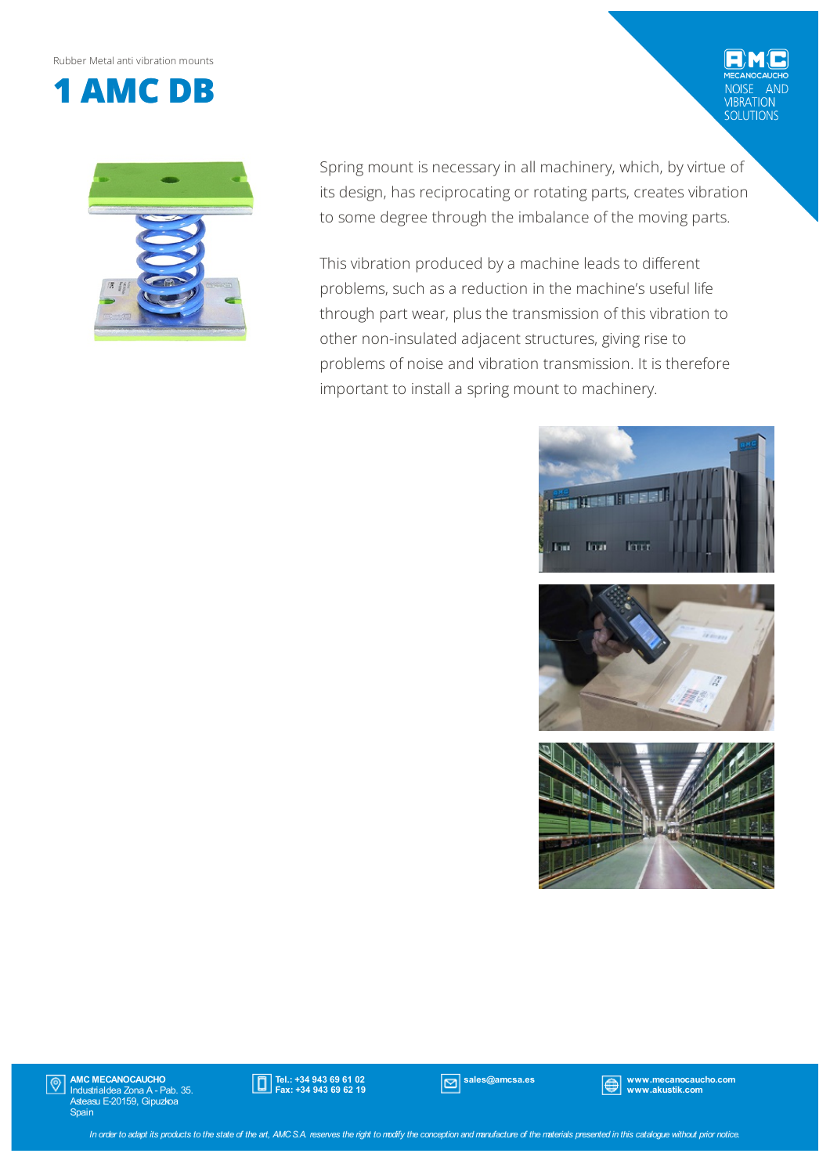Rubber Metal anti vibration mounts



Spring mount is necessary in all machinery, which, by virtue of its design, has reciprocating or rotating parts, creates vibration to some degree through the imbalance of the moving parts.

This vibration produced by a machine leads to different problems, such as a reduction in the machine's useful life through part wear, plus the transmission of this vibration to other non-insulated adjacent structures, giving rise to problems of noise and vibration transmission. It is therefore important to install a spring mount to machinery.



AND

VIBRATION<br>SOLUTIONS



AMC MECANOCAUCHO Industrialdea Zona A - Pab. 35. Asteasu E-20159, Gipuzkoa Spain  $|\mathbb{Q}|$ 



sales@amcsa.es www.mecanocaucho.com www.akustik.com

In order to adapt its products to the state of the art, AMCS.A. reserves the right to modify the conception and manufacture of the materials presented in this catalogue without prior notice.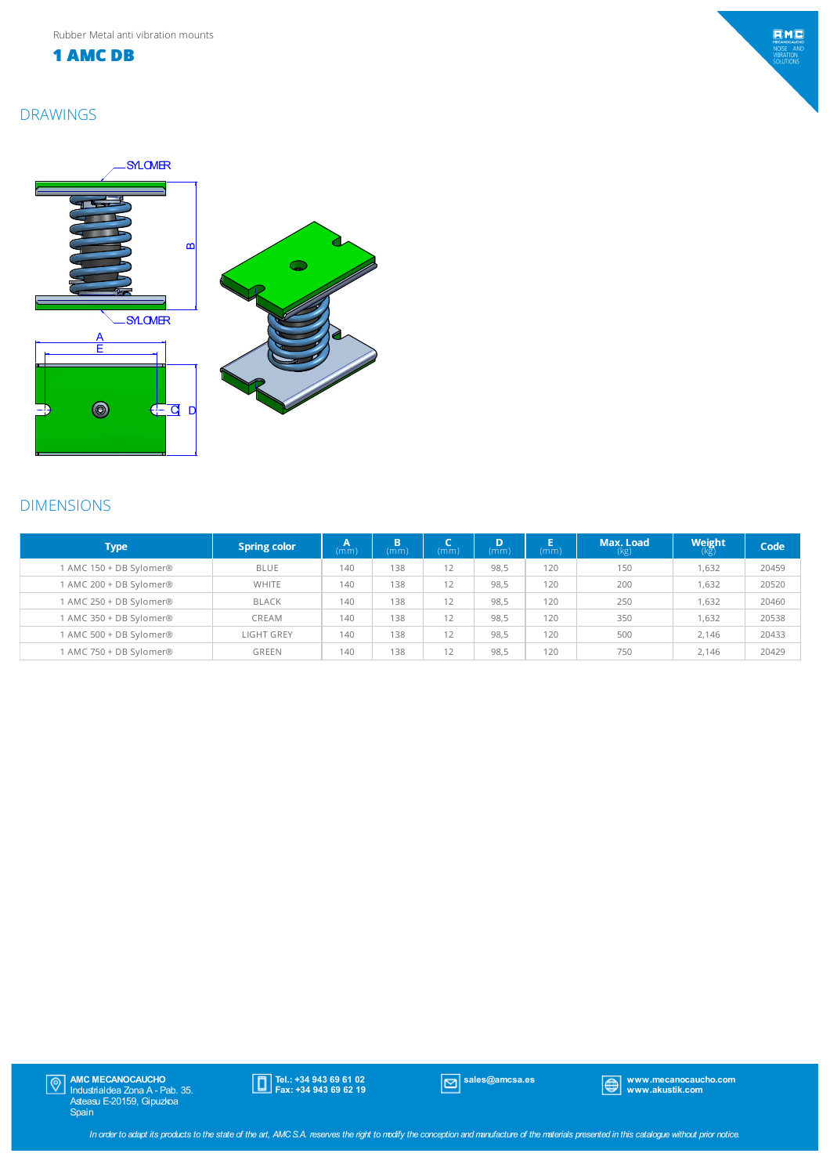**1 AMC DB**

## DRAWINGS



## DIMENSIONS

| <b>Type</b>             | <b>Spring color</b> | Α<br>(mm) | B.<br>(m <sub>m</sub> ) | (mm) | D<br>(mm) | (mm) | Max. Load<br>(kg) | <b>Weight</b><br>$(k\bar{g})$ | Code  |
|-------------------------|---------------------|-----------|-------------------------|------|-----------|------|-------------------|-------------------------------|-------|
| 1 AMC 150 + DB Sylomer® | <b>BLUE</b>         | 140       | 138                     | 12   | 98.5      | 120  | 150               | 1.632                         | 20459 |
| 1 AMC 200 + DB Sylomer® | WHITE               | 140       | 138                     | 12   | 98.5      | 120  | 200               | 1,632                         | 20520 |
| 1 AMC 250 + DB Sylomer® | <b>BLACK</b>        | 140       | 138                     | 12   | 98,5      | 120  | 250               | 1,632                         | 20460 |
| 1 AMC 350 + DB Sylomer® | CREAM               | 140       | 138                     | 12   | 98.5      | 120  | 350               | 1.632                         | 20538 |
| 1 AMC 500 + DB Sylomer® | LIGHT GREY          | 140       | 138                     | 12   | 98.5      | 120  | 500               | 2.146                         | 20433 |
| 1 AMC 750 + DB Sylomer® | <b>GREEN</b>        | 140       | 138                     | 12   | 98.5      | 120  | 750               | 2.146                         | 20429 |

AMC MECANOCAUCHO Industrialdea Zona A - Pab. 35. Asteasu E-20159, Gipuzkoa Spain

Tel.: +34 943 69 61 02 Fax: +34 943 69 62 19

sales@amcsa.es www.mecanocaucho.com www.akustik.com

 $EMC$ MECANOCAUCH<br>NOISE ANI<br>VIBRATION<br>SOLUTIONS

In order to adapt its products to the state of the art, AMCS.A. reserves the right to modify the conception and manufacture of the materials presented in this catalogue without prior notice.